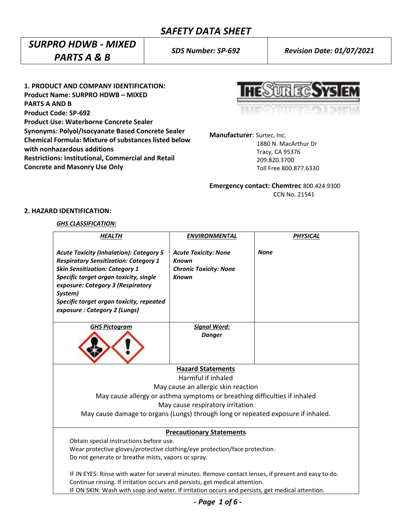# *SURPRO HDWB - MIXED PARTS A & B*

*SDS Number: SP-692 Revision Date: 01/07/2021*

**1. PRODUCT AND COMPANY IDENTIFICATION: Product Name: SURPRO HDWB – MIXED PARTS A AND B Product Code: SP-692 Product Use: Waterborne Concrete Sealer Synonyms: Polyol/Isocyanate Based Concrete Sealer Chemical Formula: Mixture of substances listed below with nonhazardous additions Restrictions: Institutional, Commercial and Retail Concrete and Masonry Use Only**

UR EC

**Manufacturer**: Surtec, Inc.

 1880 N. MacArthur Dr Tracy, CA 95376 209.820.3700 Toll Free 800.877.6330

**Emergency contact: Chemtrec** 800.424.9300 CCN No. 21541

## **2. HAZARD IDENTIFICATION:**

## *GHS CLASSIFICATION:*

| <b>HEALTH</b>                                                                                                                                                                                                                                                                                                 | <b>ENVIRONMENTAL</b>                                                                         | <b>PHYSICAL</b> |  |
|---------------------------------------------------------------------------------------------------------------------------------------------------------------------------------------------------------------------------------------------------------------------------------------------------------------|----------------------------------------------------------------------------------------------|-----------------|--|
| <b>Acute Toxicity (Inhalation): Category 5</b><br><b>Respiratory Sensitization: Category 1</b><br><b>Skin Sensitization: Category 1</b><br>Specific target organ toxicity, single<br>exposure: Category 3 (Respiratory<br>System)<br>Specific target organ toxicity, repeated<br>exposure: Category 2 (Lungs) | <b>Acute Toxicity: None</b><br><b>Known</b><br><b>Chronic Toxicity: None</b><br><b>Known</b> | <b>None</b>     |  |
| <b>GHS Pictogram</b>                                                                                                                                                                                                                                                                                          | <b>Signal Word:</b>                                                                          |                 |  |
|                                                                                                                                                                                                                                                                                                               | <b>Danger</b>                                                                                |                 |  |
|                                                                                                                                                                                                                                                                                                               | <b>Hazard Statements</b>                                                                     |                 |  |
| Harmful if inhaled                                                                                                                                                                                                                                                                                            |                                                                                              |                 |  |
| May cause an allergic skin reaction                                                                                                                                                                                                                                                                           |                                                                                              |                 |  |
| May cause allergy or asthma symptoms or breathing difficulties if inhaled                                                                                                                                                                                                                                     |                                                                                              |                 |  |
| May cause respiratory irritation                                                                                                                                                                                                                                                                              |                                                                                              |                 |  |
| May cause damage to organs (Lungs) through long or repeated exposure if inhaled.                                                                                                                                                                                                                              |                                                                                              |                 |  |
| <b>Precautionary Statements</b>                                                                                                                                                                                                                                                                               |                                                                                              |                 |  |
| Obtain special instructions before use.                                                                                                                                                                                                                                                                       |                                                                                              |                 |  |
| Wear protective gloves/protective clothing/eye protection/face protection.                                                                                                                                                                                                                                    |                                                                                              |                 |  |
| Do not generate or breathe mists, vapors or spray.                                                                                                                                                                                                                                                            |                                                                                              |                 |  |
| IF IN EYES: Rinse with water for several minutes. Remove contact lenses, if present and easy to do.<br>Continue rinsing. If irritation occurs and persists, get medical attention.                                                                                                                            |                                                                                              |                 |  |
| IF ON SKIN: Wash with soap and water. If irritation occurs and persists, get medical attention.                                                                                                                                                                                                               |                                                                                              |                 |  |

*- Page 1 of 6 -*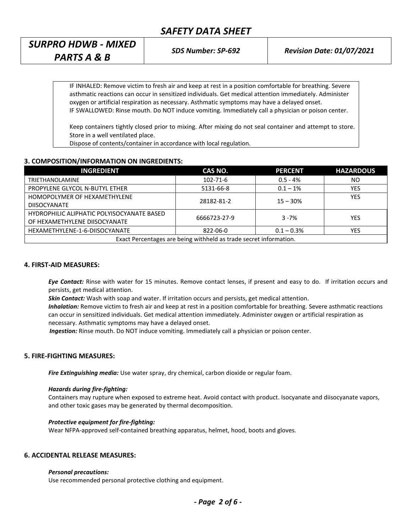# *SURPRO HDWB - MIXED PARTS A & B*

*SDS Number: SP-692 Revision Date: 01/07/2021*

IF INHALED: Remove victim to fresh air and keep at rest in a position comfortable for breathing. Severe asthmatic reactions can occur in sensitized individuals. Get medical attention immediately. Administer oxygen or artificial respiration as necessary. Asthmatic symptoms may have a delayed onset. IF SWALLOWED: Rinse mouth. Do NOT induce vomiting. Immediately call a physician or poison center.

Keep containers tightly closed prior to mixing. After mixing do not seal container and attempt to store. Store in a well ventilated place.

Dispose of contents/container in accordance with local regulation.

## **3. COMPOSITION/INFORMATION ON INGREDIENTS:**

| <b>INGREDIENT</b>                                                 | CAS NO.        | <b>PERCENT</b> | <b>HAZARDOUS</b> |  |
|-------------------------------------------------------------------|----------------|----------------|------------------|--|
| <b>TRIETHANOLAMINE</b>                                            | $102 - 71 - 6$ | $0.5 - 4%$     | NO               |  |
| PROPYLENE GLYCOL N-BUTYL ETHER                                    | 5131-66-8      | $0.1 - 1\%$    | YES              |  |
| HOMOPOLYMER OF HEXAMETHYLENE                                      | 28182-81-2     | $15 - 30%$     | <b>YES</b>       |  |
| <b>DIISOCYANATE</b>                                               |                |                |                  |  |
| HYDROPHILIC ALIPHATIC POLYISOCYANATE BASED                        | 6666723-27-9   | $3 - 7%$       | YES              |  |
| OF HEXAMETHYLENE DIISOCYANATE                                     |                |                |                  |  |
| HEXAMETHYLENE-1-6-DIISOCYANATE                                    | 822-06-0       | $0.1 - 0.3\%$  | <b>YES</b>       |  |
| Exact Percentages are being withheld as trade secret information. |                |                |                  |  |

## **4. FIRST-AID MEASURES:**

*Eye Contact:* Rinse with water for 15 minutes. Remove contact lenses, if present and easy to do. If irritation occurs and persists, get medical attention.

*Skin Contact:* Wash with soap and water. If irritation occurs and persists, get medical attention.

*Inhalation:* Remove victim to fresh air and keep at rest in a position comfortable for breathing. Severe asthmatic reactions can occur in sensitized individuals. Get medical attention immediately. Administer oxygen or artificial respiration as necessary. Asthmatic symptoms may have a delayed onset.

 *Ingestion:* Rinse mouth. Do NOT induce vomiting. Immediately call a physician or poison center.

## **5. FIRE-FIGHTING MEASURES:**

*Fire Extinguishing media:* Use water spray, dry chemical, carbon dioxide or regular foam.

#### *Hazards during fire-fighting:*

Containers may rupture when exposed to extreme heat. Avoid contact with product. Isocyanate and diisocyanate vapors, and other toxic gases may be generated by thermal decomposition.

#### *Protective equipment for fire-fighting:*

Wear NFPA-approved self-contained breathing apparatus, helmet, hood, boots and gloves.

## **6. ACCIDENTAL RELEASE MEASURES:**

#### *Personal precautions:*

Use recommended personal protective clothing and equipment.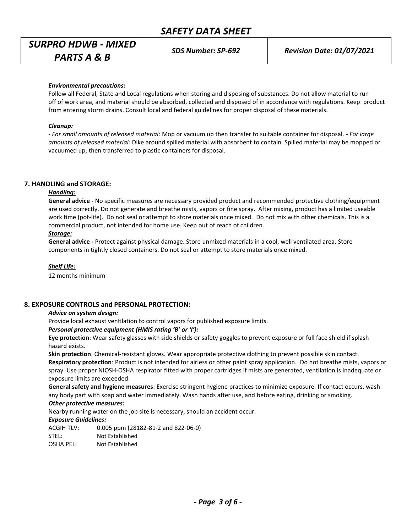## *SURPRO HDWB - MIXED PARTS A & B*

*SDS Number: SP-692 Revision Date: 01/07/2021*

#### *Environmental precautions:*

Follow all Federal, State and Local regulations when storing and disposing of substances. Do not allow material to run off of work area, and material should be absorbed, collected and disposed of in accordance with regulations. Keep product from entering storm drains. Consult local and federal guidelines for proper disposal of these materials.

#### *Cleanup:*

*- For small amounts of released material:* Mop or vacuum up then transfer to suitable container for disposal. - *For large amounts of released material:* Dike around spilled material with absorbent to contain. Spilled material may be mopped or vacuumed up, then transferred to plastic containers for disposal.

#### **7. HANDLING and STORAGE:**

## *Handling:*

**General advice -** No specific measures are necessary provided product and recommended protective clothing/equipment are used correctly. Do not generate and breathe mists, vapors or fine spray. After mixing, product has a limited useable work time (pot-life). Do not seal or attempt to store materials once mixed. Do not mix with other chemicals. This is a commercial product, not intended for home use. Keep out of reach of children.

#### *Storage:*

**General advice -** Protect against physical damage. Store unmixed materials in a cool, well ventilated area. Store components in tightly closed containers. Do not seal or attempt to store materials once mixed.

#### *Shelf Life:*

12 months minimum

#### **8. EXPOSURE CONTROLS and PERSONAL PROTECTION:**

#### *Advice on system design:*

Provide local exhaust ventilation to control vapors for published exposure limits.

#### *Personal protective equipment (HMIS rating 'B' or 'I'):*

**Eye protection**: Wear safety glasses with side shields or safety goggles to prevent exposure or full face shield if splash hazard exists.

**Skin protection**: Chemical-resistant gloves. Wear appropriate protective clothing to prevent possible skin contact. **Respiratory protection**: Product is not intended for airless or other paint spray application. Do not breathe mists, vapors or spray. Use proper NIOSH-OSHA respirator fitted with proper cartridges if mists are generated, ventilation is inadequate or exposure limits are exceeded.

**General safety and hygiene measures**: Exercise stringent hygiene practices to minimize exposure. If contact occurs, wash any body part with soap and water immediately. Wash hands after use, and before eating, drinking or smoking.

## *Other protective measures:*

Nearby running water on the job site is necessary, should an accident occur.

#### *Exposure Guidelines:*

ACGIH TLV: 0.005 ppm (28182-81-2 and 822-06-0) STEL: Not Established OSHA PEL: Not Established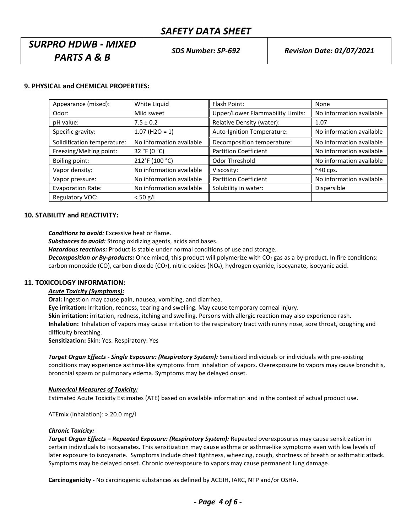## *SURPRO HDWB - MIXED PARTS A & B*

## **9. PHYSICAL and CHEMICAL PROPERTIES:**

| Appearance (mixed):         | White Liquid             | Flash Point:                            | None                     |
|-----------------------------|--------------------------|-----------------------------------------|--------------------------|
| Odor:                       | Mild sweet               | <b>Upper/Lower Flammability Limits:</b> | No information available |
| pH value:                   | $7.5 \pm 0.2$            | Relative Density (water):               | 1.07                     |
| Specific gravity:           | $1.07$ (H2O = 1)         | Auto-Ignition Temperature:              | No information available |
| Solidification temperature: | No information available | Decomposition temperature:              | No information available |
| Freezing/Melting point:     | 32 °F (0 $^{\circ}$ C)   | <b>Partition Coefficient</b>            | No information available |
| Boiling point:              | 212°F (100 °C)           | Odor Threshold                          | No information available |
| Vapor density:              | No information available | Viscosity:                              | $~\sim$ 40 cps.          |
| Vapor pressure:             | No information available | <b>Partition Coefficient</b>            | No information available |
| <b>Evaporation Rate:</b>    | No information available | Solubility in water:                    | Dispersible              |
| <b>Regulatory VOC:</b>      | $< 50$ g/l               |                                         |                          |

## **10. STABILITY and REACTIVITY:**

*Conditions to avoid:* Excessive heat or flame.

*Substances to avoid:* Strong oxidizing agents, acids and bases.

*Hazardous reactions:* Product is stable under normal conditions of use and storage.

**Decomposition or By-products:** Once mixed, this product will polymerize with CO<sub>2</sub> gas as a by-product. In fire conditions: carbon monoxide (CO), carbon dioxide (CO<sub>2</sub>), nitric oxides (NO<sub>x</sub>), hydrogen cyanide, isocyanate, isocyanic acid.

#### **11. TOXICOLOGY INFORMATION:**

### *Acute Toxicity (Symptoms):*

**Oral:** Ingestion may cause pain, nausea, vomiting, and diarrhea.

**Eye irritation:** Irritation, redness, tearing and swelling. May cause temporary corneal injury.

**Skin irritation:** irritation, redness, itching and swelling. Persons with allergic reaction may also experience rash. **Inhalation:** Inhalation of vapors may cause irritation to the respiratory tract with runny nose, sore throat, coughing and difficulty breathing.

**Sensitization:** Skin: Yes. Respiratory: Yes

*Target Organ Effects - Single Exposure: (Respiratory System):* Sensitized individuals or individuals with pre-existing conditions may experience asthma-like symptoms from inhalation of vapors. Overexposure to vapors may cause bronchitis, bronchial spasm or pulmonary edema. Symptoms may be delayed onset.

#### *Numerical Measures of Toxicity:*

Estimated Acute Toxicity Estimates (ATE) based on available information and in the context of actual product use.

ATEmix (inhalation): > 20.0 mg/l

## *Chronic Toxicity:*

*Target Organ Effects – Repeated Exposure: (Respiratory System):* Repeated overexposures may cause sensitization in certain individuals to isocyanates. This sensitization may cause asthma or asthma-like symptoms even with low levels of later exposure to isocyanate. Symptoms include chest tightness, wheezing, cough, shortness of breath or asthmatic attack. Symptoms may be delayed onset. Chronic overexposure to vapors may cause permanent lung damage.

**Carcinogenicity -** No carcinogenic substances as defined by ACGIH, IARC, NTP and/or OSHA.

*- Page 4 of 6 -*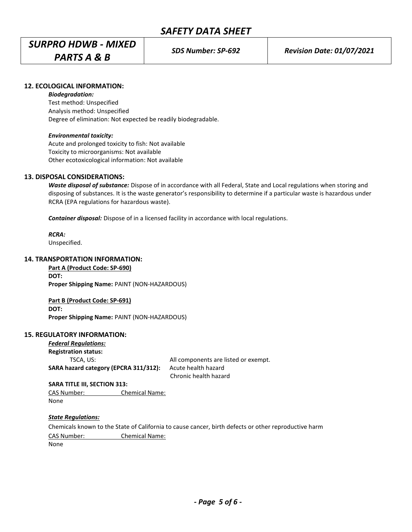# *SURPRO HDWB - MIXED PARTS A & B*

## **12. ECOLOGICAL INFORMATION:**

#### *Biodegradation:*

Test method: Unspecified Analysis method: Unspecified Degree of elimination: Not expected be readily biodegradable.

## *Environmental toxicity:*

Acute and prolonged toxicity to fish: Not available Toxicity to microorganisms: Not available Other ecotoxicological information: Not available

## **13. DISPOSAL CONSIDERATIONS:**

*Waste disposal of substance:* Dispose of in accordance with all Federal, State and Local regulations when storing and disposing of substances. It is the waste generator's responsibility to determine if a particular waste is hazardous under RCRA (EPA regulations for hazardous waste).

*Container disposal:* Dispose of in a licensed facility in accordance with local regulations.

*RCRA:*

Unspecified.

## **14. TRANSPORTATION INFORMATION:**

**Part A (Product Code: SP-690) DOT: Proper Shipping Name:** PAINT (NON-HAZARDOUS)

**Part B (Product Code: SP-691) DOT: Proper Shipping Name:** PAINT (NON-HAZARDOUS)

## **15. REGULATORY INFORMATION:**

| <b>Federal Regulations:</b>           |                                      |
|---------------------------------------|--------------------------------------|
| <b>Registration status:</b>           |                                      |
| TSCA. US:                             | All components are listed or exempt. |
| SARA hazard category (EPCRA 311/312): | Acute health hazard                  |
|                                       | Chronic health hazard                |

**SARA TITLE III, SECTION 313:**

CAS Number: Chemical Name: None

## *State Regulations:*

Chemicals known to the State of California to cause cancer, birth defects or other reproductive harm CAS Number: Chemical Name: None